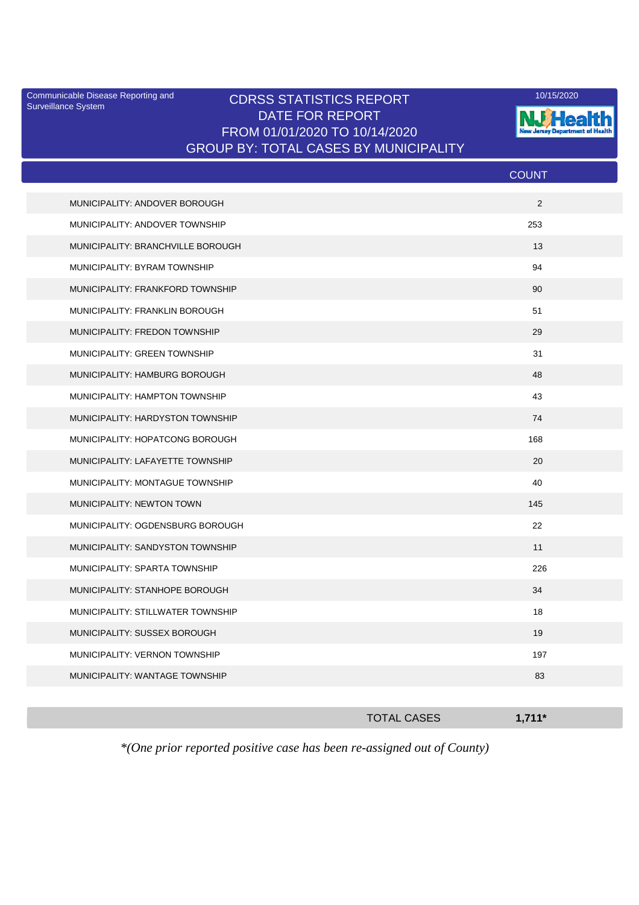Surveillance System

## Communicable Disease Reporting and CDRSS STATISTICS REPORT 10/15/2020<br>Surveillance System CDRSS STATISTICS REPORT DATE FOR REPORT FROM 01/01/2020 TO 10/14/2020 GROUP BY: TOTAL CASES BY MUNICIPALITY



|                                       | <b>COUNT</b> |
|---------------------------------------|--------------|
| MUNICIPALITY: ANDOVER BOROUGH         | 2            |
| MUNICIPALITY: ANDOVER TOWNSHIP        | 253          |
| MUNICIPALITY: BRANCHVILLE BOROUGH     | 13           |
| MUNICIPALITY: BYRAM TOWNSHIP          | 94           |
| MUNICIPALITY: FRANKFORD TOWNSHIP      | 90           |
| <b>MUNICIPALITY: FRANKLIN BOROUGH</b> | 51           |
| MUNICIPALITY: FREDON TOWNSHIP         | 29           |
| MUNICIPALITY: GREEN TOWNSHIP          | 31           |
| MUNICIPALITY: HAMBURG BOROUGH         | 48           |
| MUNICIPALITY: HAMPTON TOWNSHIP        | 43           |
| MUNICIPALITY: HARDYSTON TOWNSHIP      | 74           |
| MUNICIPALITY: HOPATCONG BOROUGH       | 168          |
| MUNICIPALITY: LAFAYETTE TOWNSHIP      | 20           |
| MUNICIPALITY: MONTAGUE TOWNSHIP       | 40           |
| MUNICIPALITY: NEWTON TOWN             | 145          |
| MUNICIPALITY: OGDENSBURG BOROUGH      | 22           |
| MUNICIPALITY: SANDYSTON TOWNSHIP      | 11           |
| MUNICIPALITY: SPARTA TOWNSHIP         | 226          |
| MUNICIPALITY: STANHOPE BOROUGH        | 34           |
| MUNICIPALITY: STILLWATER TOWNSHIP     | 18           |
| MUNICIPALITY: SUSSEX BOROUGH          | 19           |
| MUNICIPALITY: VERNON TOWNSHIP         | 197          |
| MUNICIPALITY: WANTAGE TOWNSHIP        | 83           |
|                                       |              |

| <b>TOTAL CASES</b> | $1,711*$ |
|--------------------|----------|
|                    |          |

*\*(One prior reported positive case has been re-assigned out of County)*